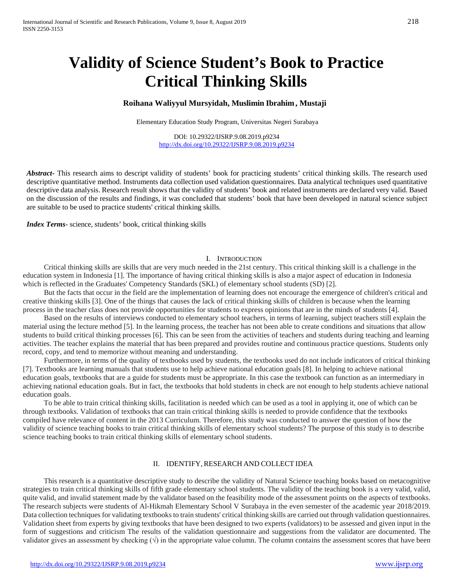# **Validity of Science Student's Book to Practice Critical Thinking Skills**

# **Roihana Waliyyul Mursyidah, Muslimin Ibrahim , Mustaji**

Elementary Education Study Program, Universitas Negeri Surabaya

DOI: 10.29322/IJSRP.9.08.2019.p9234 <http://dx.doi.org/10.29322/IJSRP.9.08.2019.p9234>

*Abstract***-** This research aims to descript validity of students' book for practicing students' critical thinking skills. The research used descriptive quantitative method. Instruments data collection used validation questionnaires. Data analytical techniques used quantitative descriptive data analysis. Research result shows that the validity of students' book and related instruments are declared very valid. Based on the discussion of the results and findings, it was concluded that students' book that have been developed in natural science subject are suitable to be used to practice students' critical thinking skills.

*Index Terms*- science, students' book, critical thinking skills

## I. INTRODUCTION

Critical thinking skills are skills that are very much needed in the 21st century. This critical thinking skill is a challenge in the education system in Indonesia [1]. The importance of having critical thinking skills is also a major aspect of education in Indonesia which is reflected in the Graduates' Competency Standards (SKL) of elementary school students (SD) [2].

But the facts that occur in the field are the implementation of learning does not encourage the emergence of children's critical and creative thinking skills [3]. One of the things that causes the lack of critical thinking skills of children is because when the learning process in the teacher class does not provide opportunities for students to express opinions that are in the minds of students [4].

Based on the results of interviews conducted to elementary school teachers, in terms of learning, subject teachers still explain the material using the lecture method [5]. In the learning process, the teacher has not been able to create conditions and situations that allow students to build critical thinking processes [6]. This can be seen from the activities of teachers and students during teaching and learning activities. The teacher explains the material that has been prepared and provides routine and continuous practice questions. Students only record, copy, and tend to memorize without meaning and understanding.

Furthermore, in terms of the quality of textbooks used by students, the textbooks used do not include indicators of critical thinking [7]. Textbooks are learning manuals that students use to help achieve national education goals [8]. In helping to achieve national education goals, textbooks that are a guide for students must be appropriate. In this case the textbook can function as an intermediary in achieving national education goals. But in fact, the textbooks that hold students in check are not enough to help students achieve national education goals.

To be able to train critical thinking skills, facilitation is needed which can be used as a tool in applying it, one of which can be through textbooks. Validation of textbooks that can train critical thinking skills is needed to provide confidence that the textbooks compiled have relevance of content in the 2013 Curriculum. Therefore, this study was conducted to answer the question of how the validity of science teaching books to train critical thinking skills of elementary school students? The purpose of this study is to describe science teaching books to train critical thinking skills of elementary school students.

## II. IDENTIFY,RESEARCH AND COLLECT IDEA

This research is a quantitative descriptive study to describe the validity of Natural Science teaching books based on metacognitive strategies to train critical thinking skills of fifth grade elementary school students. The validity of the teaching book is a very valid, valid, quite valid, and invalid statement made by the validator based on the feasibility mode of the assessment points on the aspects of textbooks. The research subjects were students of Al-Hikmah Elementary School V Surabaya in the even semester of the academic year 2018/2019. Data collection techniques for validating textbooks to train students' critical thinking skills are carried out through validation questionnaires. Validation sheet from experts by giving textbooks that have been designed to two experts (validators) to be assessed and given input in the form of suggestions and criticism The results of the validation questionnaire and suggestions from the validator are documented. The validator gives an assessment by checking  $(\sqrt{)}$  in the appropriate value column. The column contains the assessment scores that have been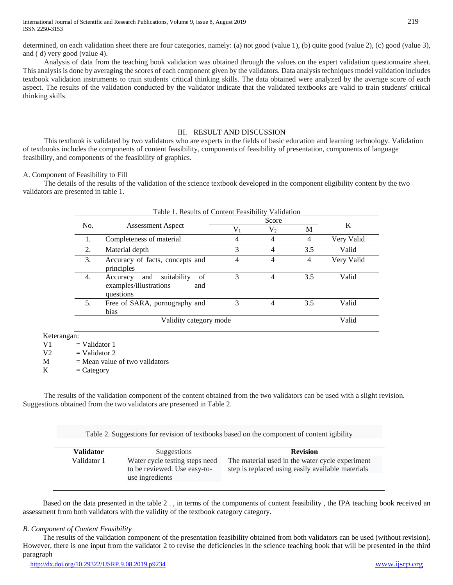determined, on each validation sheet there are four categories, namely: (a) not good (value 1), (b) quite good (value 2), (c) good (value 3), and ( d) very good (value 4).

Analysis of data from the teaching book validation was obtained through the values on the expert validation questionnaire sheet. This analysis is done by averaging the scores of each component given by the validators. Data analysis techniques model validation includes textbook validation instruments to train students' critical thinking skills. The data obtained were analyzed by the average score of each aspect. The results of the validation conducted by the validator indicate that the validated textbooks are valid to train students' critical thinking skills.

## III. RESULT AND DISCUSSION

This textbook is validated by two validators who are experts in the fields of basic education and learning technology. Validation of textbooks includes the components of content feasibility, components of feasibility of presentation, components of language feasibility, and components of the feasibility of graphics.

## A. Component of Feasibility to Fill

The details of the results of the validation of the science textbook developed in the component eligibility content by the two validators are presented in table 1.

|     |                                                                                    | Score     |                |     |            |
|-----|------------------------------------------------------------------------------------|-----------|----------------|-----|------------|
| No. | <b>Assessment Aspect</b>                                                           | $\rm V_1$ | $V_2$          | M   | K          |
| 1.  | Completeness of material                                                           | 4         | $\overline{4}$ | 4   | Very Valid |
| 2.  | Material depth                                                                     | 3         | 4              | 3.5 | Valid      |
| 3.  | Accuracy of facts, concepts and<br>principles                                      | 4         | 4              | 4   | Very Valid |
| 4.  | suitability<br>of<br>and<br>Accuracy<br>examples/illustrations<br>and<br>questions | 3         | 4              | 3.5 | Valid      |
| 5.  | Free of SARA, pornography and<br>bias                                              | 3         | 4              | 3.5 | Valid      |
|     | Validity category mode                                                             |           |                |     | Valid      |

Keterangan:

 $V1 = Validator 1$ 

 $V2 = Validator 2$ 

M = Mean value of two validators<br>  $K =$ Category

 $=$  Category

The results of the validation component of the content obtained from the two validators can be used with a slight revision. Suggestions obtained from the two validators are presented in Table 2.

Table 2. Suggestions for revision of textbooks based on the component of content igibility

| Validator   | Suggestions                                                    | <b>Revision</b>                                                                                      |
|-------------|----------------------------------------------------------------|------------------------------------------------------------------------------------------------------|
| Validator 1 | Water cycle testing steps need<br>to be reviewed. Use easy-to- | The material used in the water cycle experiment<br>step is replaced using easily available materials |
|             | use ingredients                                                |                                                                                                      |

Based on the data presented in the table 2 . , in terms of the components of content feasibility , the IPA teaching book received an assessment from both validators with the validity of the textbook category category.

## *B. Component of Content Feasibility*

The results of the validation component of the presentation feasibility obtained from both validators can be used (without revision). However, there is one input from the validator 2 to revise the deficiencies in the science teaching book that will be presented in the third paragraph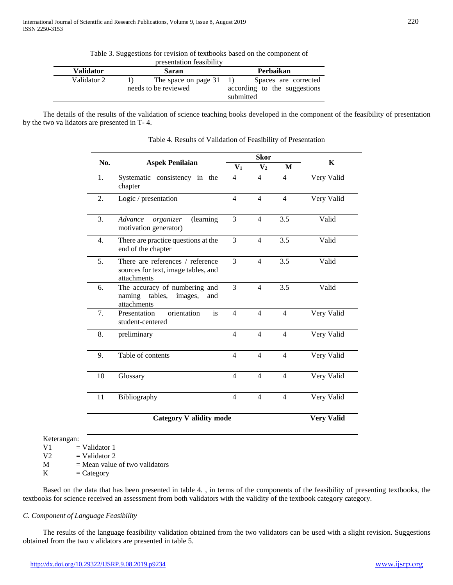| Table 3. Suggestions for revision of textbooks based on the component of |  |  |
|--------------------------------------------------------------------------|--|--|
|                                                                          |  |  |

| presentation reasibility |                      |                                |  |  |  |  |
|--------------------------|----------------------|--------------------------------|--|--|--|--|
| <b>Validator</b>         | Saran                | Perbaikan                      |  |  |  |  |
| Validator 2              | The space on page 31 | Spaces are corrected<br>$\Box$ |  |  |  |  |
|                          | needs to be reviewed | according to the suggestions   |  |  |  |  |
|                          |                      | submitted                      |  |  |  |  |

The details of the results of the validation of science teaching books developed in the component of the feasibility of presentation by the two va lidators are presented in T- 4.

|                  |                                                                                        | <b>Skor</b>    |                |                  |                   |
|------------------|----------------------------------------------------------------------------------------|----------------|----------------|------------------|-------------------|
| No.              | <b>Aspek Penilaian</b>                                                                 | $V_1$          | $\mathbf{V}_2$ | M                | K                 |
| 1.               | Systematic consistency in the<br>chapter                                               | $\overline{4}$ | $\overline{4}$ | $\overline{4}$   | Very Valid        |
| 2.               | Logic / presentation                                                                   | $\overline{4}$ | $\overline{4}$ | $\overline{4}$   | Very Valid        |
| 3.               | organizer<br>(learning<br>Advance<br>motivation generator)                             | 3              | $\overline{4}$ | 3.5              | Valid             |
| $\overline{4}$ . | There are practice questions at the<br>end of the chapter                              | 3              | $\overline{4}$ | 3.5              | Valid             |
| 5.               | There are references / reference<br>sources for text, image tables, and<br>attachments | 3              | $\overline{4}$ | $\overline{3.5}$ | Valid             |
| 6.               | The accuracy of numbering and<br>tables,<br>naming<br>images,<br>and<br>attachments    | 3              | $\overline{4}$ | 3.5              | Valid             |
| 7.               | is<br>orientation<br>Presentation<br>student-centered                                  | $\overline{4}$ | $\overline{4}$ | $\overline{4}$   | Very Valid        |
| 8.               | preliminary                                                                            | $\overline{4}$ | $\overline{4}$ | $\overline{4}$   | Very Valid        |
| 9.               | Table of contents                                                                      | $\overline{4}$ | $\overline{4}$ | $\overline{4}$   | Very Valid        |
| 10               | Glossary                                                                               | $\overline{4}$ | $\overline{4}$ | $\overline{4}$   | Very Valid        |
| 11               | Bibliography                                                                           | $\overline{4}$ | $\overline{4}$ | $\overline{4}$   | Very Valid        |
|                  | <b>Category V alidity mode</b>                                                         |                |                |                  | <b>Very Valid</b> |

Table 4. Results of Validation of Feasibility of Presentation

 $V1$  = Validator 1

 $V2 = Validator 2$ 

 $M = Mean value of two validators$ 

 $K =$ Category

Based on the data that has been presented in table 4. , in terms of the components of the feasibility of presenting textbooks, the textbooks for science received an assessment from both validators with the validity of the textbook category category.

# *C. Component of Language Feasibility*

The results of the language feasibility validation obtained from the two validators can be used with a slight revision. Suggestions obtained from the two v alidators are presented in table 5.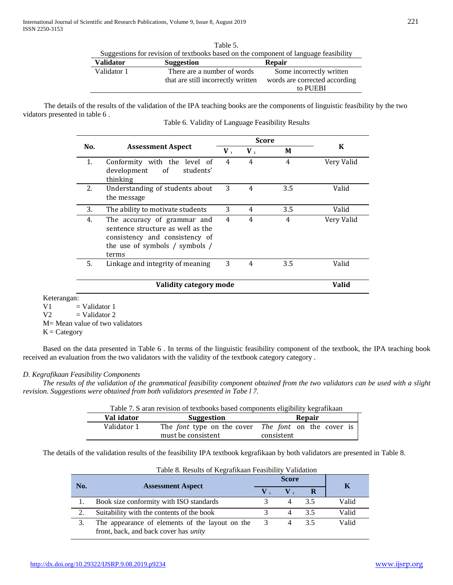| $1$ and $\overline{2}$ . |                                                                                      |                               |  |  |  |  |  |
|--------------------------|--------------------------------------------------------------------------------------|-------------------------------|--|--|--|--|--|
|                          | Suggestions for revision of textbooks based on the component of language feasibility |                               |  |  |  |  |  |
| Validator                | <b>Suggestion</b>                                                                    | <b>Repair</b>                 |  |  |  |  |  |
| Validator 1              | There are a number of words                                                          | Some incorrectly written      |  |  |  |  |  |
|                          | that are still incorrectly written                                                   | words are corrected according |  |  |  |  |  |
|                          |                                                                                      | to PUEBI                      |  |  |  |  |  |

 $Table 5.$ 

The details of the results of the validation of the IPA teaching books are the components of linguistic feasibility by the two vidators presented in table 6 .

|     | <b>Assessment Aspect</b>                                                                                                                      |             | Score     |     |              |
|-----|-----------------------------------------------------------------------------------------------------------------------------------------------|-------------|-----------|-----|--------------|
| No. |                                                                                                                                               | $V_{\perp}$ | $V_{\nu}$ | M   | K            |
| 1.  | Conformity with the<br>level of<br>of<br>development<br>students'<br>thinking                                                                 | 4           | 4         | 4   | Very Valid   |
| 2.  | Understanding of students about<br>the message                                                                                                | 3           | 4         | 3.5 | Valid        |
| 3.  | The ability to motivate students                                                                                                              | 3           | 4         | 3.5 | Valid        |
| 4.  | The accuracy of grammar and<br>sentence structure as well as the<br>consistency and consistency of<br>the use of symbols / symbols /<br>terms | 4           | 4         | 4   | Very Valid   |
| 5.  | Linkage and integrity of meaning                                                                                                              | 3           | 4         | 3.5 | Valid        |
|     | Validity category mode                                                                                                                        |             |           |     | <b>Valid</b> |

Keterangan:

 $V1$  = Validator 1

 $V2 = Validator 2$ 

M= Mean value of two validators

 $K =$  Category

Based on the data presented in Table 6 . In terms of the linguistic feasibility component of the textbook, the IPA teaching book received an evaluation from the two validators with the validity of the textbook category category .

# *D. Kegrafikaan Feasibility Components*

*The results of the validation of the grammatical feasibility component obtained from the two validators can be used with a slight revision. Suggestions were obtained from both validators presented in Tabe l 7.*

|             | Table 7. S aran revision of textbooks based components eligibility kegrafikaan |                                                                   |  |  |  |  |  |
|-------------|--------------------------------------------------------------------------------|-------------------------------------------------------------------|--|--|--|--|--|
| Val idator  | Suggestion                                                                     | Repair                                                            |  |  |  |  |  |
| Validator 1 |                                                                                | The <i>font</i> type on the cover The <i>font</i> on the cover is |  |  |  |  |  |

must be consistent

The details of the validation results of the feasibility IPA textbook kegrafikaan by both validators are presented in Table 8.

|     | Table 8. Results of Regrafikaan Feasibility Vandation                                           |   |               |    |       |  |
|-----|-------------------------------------------------------------------------------------------------|---|---------------|----|-------|--|
| No. | <b>Assessment Aspect</b>                                                                        |   | <b>Score</b>  | Κ  |       |  |
|     |                                                                                                 |   | $\mathbf V$ . |    |       |  |
|     | Book size conformity with ISO standards                                                         |   | 4             | 35 | Valid |  |
| 2.  | Suitability with the contents of the book                                                       |   | 4             | 35 | Valid |  |
| 3.  | The appearance of elements of the layout on the<br>front, back, and back cover has <i>unity</i> | 3 |               | 35 | Valid |  |

consistent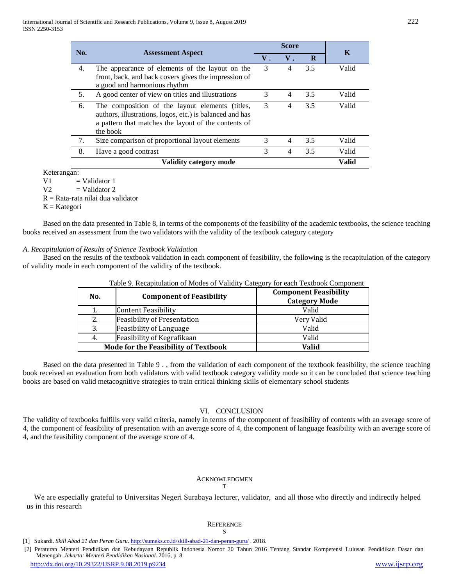| No.                    | <b>Assessment Aspect</b>                                                                                                                                                        | <b>Score</b> |             |     | K     |
|------------------------|---------------------------------------------------------------------------------------------------------------------------------------------------------------------------------|--------------|-------------|-----|-------|
|                        |                                                                                                                                                                                 | $V_{1}$      | ${\bf V}$ , | R   |       |
| 4.                     | The appearance of elements of the layout on the<br>front, back, and back covers gives the impression of<br>a good and harmonious rhythm                                         | 3            | 4           | 3.5 | Valid |
| 5.                     | A good center of view on titles and illustrations                                                                                                                               | 3            | 4           | 3.5 | Valid |
| 6.                     | The composition of the layout elements (titles,<br>authors, illustrations, logos, etc.) is balanced and has<br>a pattern that matches the layout of the contents of<br>the book | 3            | 4           | 3.5 | Valid |
| 7.                     | Size comparison of proportional layout elements                                                                                                                                 | 3            | 4           | 3.5 | Valid |
| 8.                     | Have a good contrast                                                                                                                                                            | 3            | 4           | 3.5 | Valid |
| Validity category mode |                                                                                                                                                                                 |              |             |     | Valid |

Keterangan:

 $V1 = Validator 1$ 

 $V2 = Validator 2$ 

R = Rata-rata nilai dua validator

 $K = K \atop R$ 

Based on the data presented in Table 8, in terms of the components of the feasibility of the academic textbooks, the science teaching books received an assessment from the two validators with the validity of the textbook category category

## *A. Recapitulation of Results of Science Textbook Validation*

Based on the results of the textbook validation in each component of feasibility, the following is the recapitulation of the category of validity mode in each component of the validity of the textbook.

| No. | <b>Component of Feasibility</b>             | <b>Component Feasibility</b><br><b>Category Mode</b> |  |
|-----|---------------------------------------------|------------------------------------------------------|--|
| 1.  | Content Feasibility                         | Valid                                                |  |
| 2.  | <b>Feasibility of Presentation</b>          | Very Valid                                           |  |
| 3.  | Feasibility of Language                     | Valid                                                |  |
| 4.  | Feasibility of Kegrafikaan                  | Valid                                                |  |
|     | <b>Mode for the Feasibility of Textbook</b> | Valid                                                |  |

#### Table 9. Recapitulation of Modes of Validity Category for each Textbook Component

Based on the data presented in Table 9 . , from the validation of each component of the textbook feasibility, the science teaching book received an evaluation from both validators with valid textbook category validity mode so it can be concluded that science teaching books are based on valid metacognitive strategies to train critical thinking skills of elementary school students

#### VI. CONCLUSION

The validity of textbooks fulfills very valid criteria, namely in terms of the component of feasibility of contents with an average score of 4, the component of feasibility of presentation with an average score of 4, the component of language feasibility with an average score of 4, and the feasibility component of the average score of 4.

## ACKNOWLEDGMEN

T

We are especially grateful to Universitas Negeri Surabaya lecturer, validator, and all those who directly and indirectly helped us in this research

#### **REFERENCE**

S

[2] Peraturan Menteri Pendidikan dan Kebudayaan Republik Indonesia Nomor 20 Tahun 2016 Tentang Standar Kompetensi Lulusan Pendidikan Dasar dan Menengah. *Jakarta: Menteri Pendidikan Nasional*. 2016, p. 8.

<sup>[1]</sup> Sukardi. *Skill Abad 21 dan Peran Guru*.<http://sumeks.co.id/skill-abad-21-dan-peran-guru/> . 2018.